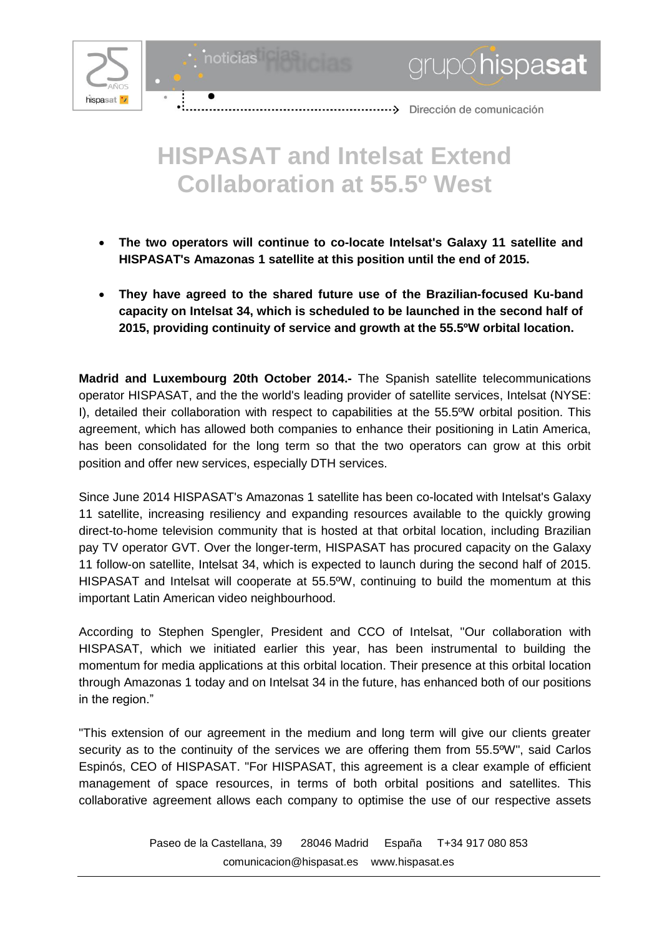



## 

## **HISPASAT and Intelsat Extend Collaboration at 55.5º West**

- **The two operators will continue to co-locate Intelsat's Galaxy 11 satellite and HISPASAT's Amazonas 1 satellite at this position until the end of 2015.**
- **They have agreed to the shared future use of the Brazilian-focused Ku-band capacity on Intelsat 34, which is scheduled to be launched in the second half of 2015, providing continuity of service and growth at the 55.5ºW orbital location.**

**Madrid and Luxembourg 20th October 2014.-** The Spanish satellite telecommunications operator HISPASAT, and the the world's leading provider of satellite services, Intelsat (NYSE: I), detailed their collaboration with respect to capabilities at the 55.5ºW orbital position. This agreement, which has allowed both companies to enhance their positioning in Latin America, has been consolidated for the long term so that the two operators can grow at this orbit position and offer new services, especially DTH services.

Since June 2014 HISPASAT's Amazonas 1 satellite has been co-located with Intelsat's Galaxy 11 satellite, increasing resiliency and expanding resources available to the quickly growing direct-to-home television community that is hosted at that orbital location, including Brazilian pay TV operator GVT. Over the longer-term, HISPASAT has procured capacity on the Galaxy 11 follow-on satellite, Intelsat 34, which is expected to launch during the second half of 2015. HISPASAT and Intelsat will cooperate at 55.5ºW, continuing to build the momentum at this important Latin American video neighbourhood.

According to Stephen Spengler, President and CCO of Intelsat, "Our collaboration with HISPASAT, which we initiated earlier this year, has been instrumental to building the momentum for media applications at this orbital location. Their presence at this orbital location through Amazonas 1 today and on Intelsat 34 in the future, has enhanced both of our positions in the region."

"This extension of our agreement in the medium and long term will give our clients greater security as to the continuity of the services we are offering them from 55.5ºW", said Carlos Espinós, CEO of HISPASAT. "For HISPASAT, this agreement is a clear example of efficient management of space resources, in terms of both orbital positions and satellites. This collaborative agreement allows each company to optimise the use of our respective assets

> Paseo de la Castellana, 39 28046 Madrid España T+34 917 080 853 [comunicacion@hispasat.es](mailto:comunicacion@hispasat.es) www.hispasat.es